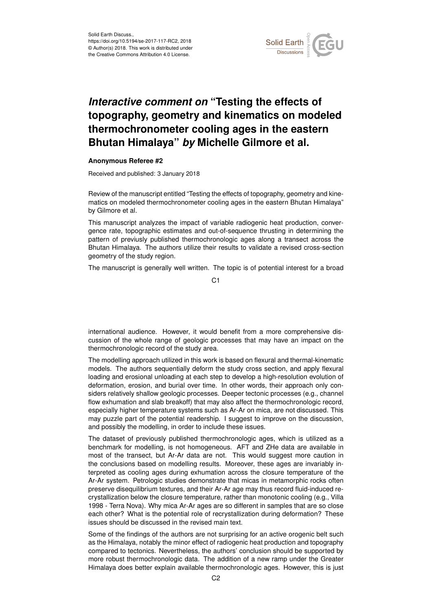

## *Interactive comment on* **"Testing the effects of topography, geometry and kinematics on modeled thermochronometer cooling ages in the eastern Bhutan Himalaya"** *by* **Michelle Gilmore et al.**

## **Anonymous Referee #2**

Received and published: 3 January 2018

Review of the manuscript entitled "Testing the effects of topography, geometry and kinematics on modeled thermochronometer cooling ages in the eastern Bhutan Himalaya" by Gilmore et al.

This manuscript analyzes the impact of variable radiogenic heat production, convergence rate, topographic estimates and out-of-sequence thrusting in determining the pattern of previusly published thermochronologic ages along a transect across the Bhutan Himalaya. The authors utilize their results to validate a revised cross-section geometry of the study region.

The manuscript is generally well written. The topic is of potential interest for a broad

C1

international audience. However, it would benefit from a more comprehensive discussion of the whole range of geologic processes that may have an impact on the thermochronologic record of the study area.

The modelling approach utilized in this work is based on flexural and thermal-kinematic models. The authors sequentially deform the study cross section, and apply flexural loading and erosional unloading at each step to develop a high-resolution evolution of deformation, erosion, and burial over time. In other words, their approach only considers relatively shallow geologic processes. Deeper tectonic processes (e.g., channel flow exhumation and slab breakoff) that may also affect the thermochronologic record, especially higher temperature systems such as Ar-Ar on mica, are not discussed. This may puzzle part of the potential readership. I suggest to improve on the discussion, and possibly the modelling, in order to include these issues.

The dataset of previously published thermochronologic ages, which is utilized as a benchmark for modelling, is not homogeneous. AFT and ZHe data are available in most of the transect, but Ar-Ar data are not. This would suggest more caution in the conclusions based on modelling results. Moreover, these ages are invariably interpreted as cooling ages during exhumation across the closure temperature of the Ar-Ar system. Petrologic studies demonstrate that micas in metamorphic rocks often preserve disequilibrium textures, and their Ar-Ar age may thus record fluid-induced recrystallization below the closure temperature, rather than monotonic cooling (e.g., Villa 1998 - Terra Nova). Why mica Ar-Ar ages are so different in samples that are so close each other? What is the potential role of recrystallization during deformation? These issues should be discussed in the revised main text.

Some of the findings of the authors are not surprising for an active orogenic belt such as the Himalaya, notably the minor effect of radiogenic heat production and topography compared to tectonics. Nevertheless, the authors' conclusion should be supported by more robust thermochronologic data. The addition of a new ramp under the Greater Himalaya does better explain available thermochronologic ages. However, this is just